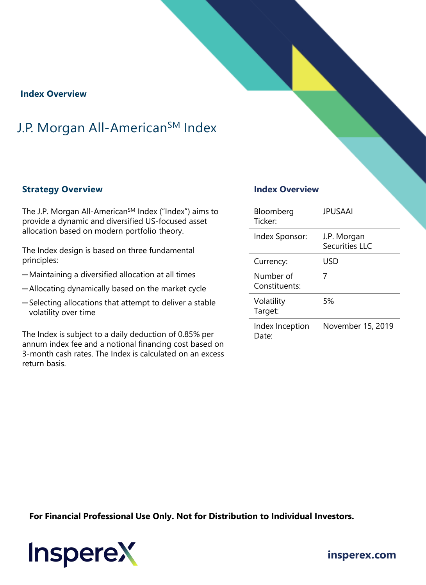### **Index Overview**

# J.P. Morgan All-American<sup>SM</sup> Index

### **Strategy Overview**

The J.P. Morgan All-American<sup>SM</sup> Index ("Index") aims to provide a dynamic and diversified US-focused asset allocation based on modern portfolio theory.

The Index design is based on three fundamental principles:

- ─Maintaining a diversified allocation at all times
- ─Allocating dynamically based on the market cycle
- ─Selecting allocations that attempt to deliver a stable volatility over time

The Index is subject to a daily deduction of 0.85% per annum index fee and a notional financing cost based on 3-month cash rates. The Index is calculated on an excess return basis.

### **Index Overview**

| Bloomberg<br>Ticker <sup>.</sup> | <b>JPUSAAI</b>                       |
|----------------------------------|--------------------------------------|
| Index Sponsor:                   | J.P. Morgan<br><b>Securities LLC</b> |
| Currency:                        | USD                                  |
| Number of<br>Constituents:       | 7                                    |
| Volatility<br>Target:            | 5%                                   |
| Index Inception<br>Date:         | November 15, 2019                    |

**For Financial Professional Use Only. Not for Distribution to Individual Investors.** 



**[insperex.com](http://www.insperex.com/)**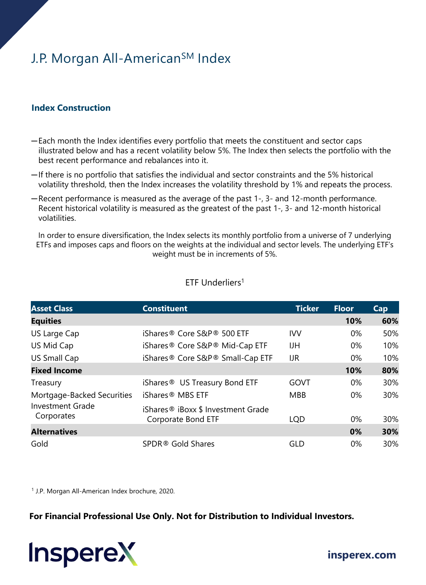# J.P. Morgan All-American<sup>SM</sup> Index

### **Index Construction**

- ─Each month the Index identifies every portfolio that meets the constituent and sector caps illustrated below and has a recent volatility below 5%. The Index then selects the portfolio with the best recent performance and rebalances into it.
- ─If there is no portfolio that satisfies the individual and sector constraints and the 5% historical volatility threshold, then the Index increases the volatility threshold by 1% and repeats the process.
- ─Recent performance is measured as the average of the past 1-, 3- and 12-month performance. Recent historical volatility is measured as the greatest of the past 1-, 3- and 12-month historical volatilities.

In order to ensure diversification, the Index selects its monthly portfolio from a universe of 7 underlying ETFs and imposes caps and floors on the weights at the individual and sector levels. The underlying ETF's weight must be in increments of 5%.

| <b>Asset Class</b>                    | <b>Constituent</b>                                                   | <b>Ticker</b> | <b>Floor</b> | <b>Cap</b> |
|---------------------------------------|----------------------------------------------------------------------|---------------|--------------|------------|
| <b>Equities</b>                       |                                                                      |               | 10%          | 60%        |
| US Large Cap                          | iShares <sup>®</sup> Core S&P <sup>®</sup> 500 ETF                   | <b>IVV</b>    | 0%           | 50%        |
| US Mid Cap                            | iShares <sup>®</sup> Core S&P <sup>®</sup> Mid-Cap ETF               | IJН           | 0%           | 10%        |
| US Small Cap                          | iShares <sup>®</sup> Core S&P <sup>®</sup> Small-Cap ETF             | <b>UR</b>     | 0%           | 10%        |
| <b>Fixed Income</b>                   |                                                                      |               | 10%          | 80%        |
| Treasury                              | iShares <sup>®</sup> US Treasury Bond ETF                            | GOVT          | 0%           | 30%        |
| Mortgage-Backed Securities            | iShares <sup>®</sup> MBS ETF                                         | <b>MBB</b>    | 0%           | 30%        |
| <b>Investment Grade</b><br>Corporates | iShares <sup>®</sup> iBoxx \$ Investment Grade<br>Corporate Bond ETF | <b>LQD</b>    | 0%           | <b>30%</b> |
| <b>Alternatives</b>                   |                                                                      |               | 0%           | 30%        |
| Gold                                  | SPDR® Gold Shares                                                    | GLD           | 0%           | 30%        |

### ETF Underliers1

<sup>1</sup> J.P. Morgan All-American Index brochure, 2020.

**For Financial Professional Use Only. Not for Distribution to Individual Investors.** 



## **[insperex.com](http://www.insperex.com/)**